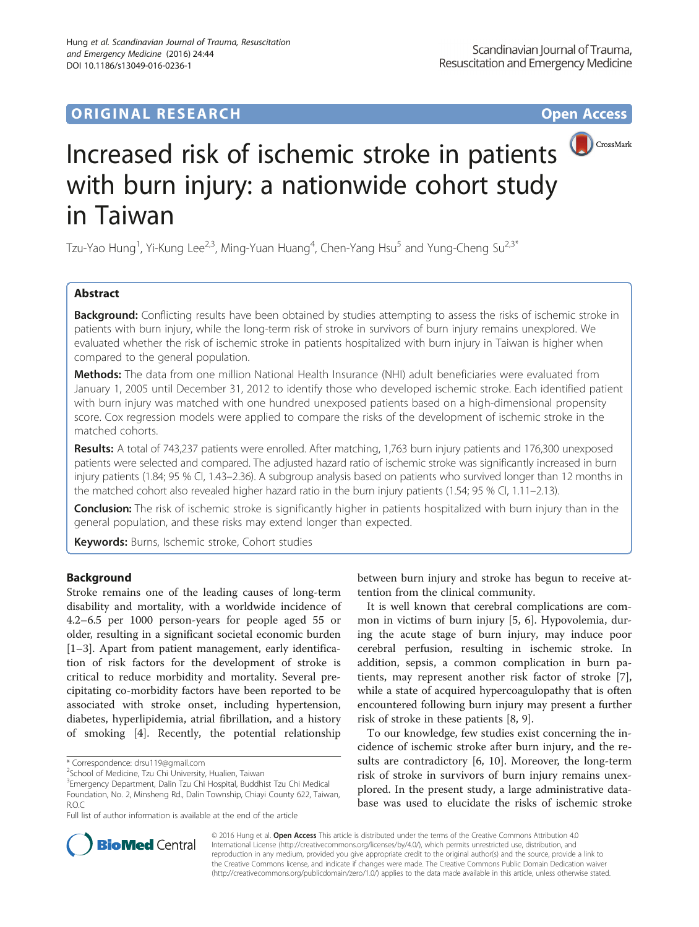## **ORIGINAL RESEARCH CONSERVERS AND ACCESS**



# Increased risk of ischemic stroke in patients with burn injury: a nationwide cohort study in Taiwan

Tzu-Yao Hung<sup>1</sup>, Yi-Kung Lee<sup>2,3</sup>, Ming-Yuan Huang<sup>4</sup>, Chen-Yang Hsu<sup>5</sup> and Yung-Cheng Su<sup>2,3\*</sup>

## Abstract

Background: Conflicting results have been obtained by studies attempting to assess the risks of ischemic stroke in patients with burn injury, while the long-term risk of stroke in survivors of burn injury remains unexplored. We evaluated whether the risk of ischemic stroke in patients hospitalized with burn injury in Taiwan is higher when compared to the general population.

Methods: The data from one million National Health Insurance (NHI) adult beneficiaries were evaluated from January 1, 2005 until December 31, 2012 to identify those who developed ischemic stroke. Each identified patient with burn injury was matched with one hundred unexposed patients based on a high-dimensional propensity score. Cox regression models were applied to compare the risks of the development of ischemic stroke in the matched cohorts.

Results: A total of 743,237 patients were enrolled. After matching, 1,763 burn injury patients and 176,300 unexposed patients were selected and compared. The adjusted hazard ratio of ischemic stroke was significantly increased in burn injury patients (1.84; 95 % CI, 1.43–2.36). A subgroup analysis based on patients who survived longer than 12 months in the matched cohort also revealed higher hazard ratio in the burn injury patients (1.54; 95 % CI, 1.11–2.13).

**Conclusion:** The risk of ischemic stroke is significantly higher in patients hospitalized with burn injury than in the general population, and these risks may extend longer than expected.

Keywords: Burns, Ischemic stroke, Cohort studies

## **Background**

Stroke remains one of the leading causes of long-term disability and mortality, with a worldwide incidence of 4.2–6.5 per 1000 person-years for people aged 55 or older, resulting in a significant societal economic burden [[1](#page-6-0)–[3\]](#page-6-0). Apart from patient management, early identification of risk factors for the development of stroke is critical to reduce morbidity and mortality. Several precipitating co-morbidity factors have been reported to be associated with stroke onset, including hypertension, diabetes, hyperlipidemia, atrial fibrillation, and a history of smoking [\[4\]](#page-6-0). Recently, the potential relationship

Full list of author information is available at the end of the article

between burn injury and stroke has begun to receive attention from the clinical community.

It is well known that cerebral complications are common in victims of burn injury [[5, 6](#page-6-0)]. Hypovolemia, during the acute stage of burn injury, may induce poor cerebral perfusion, resulting in ischemic stroke. In addition, sepsis, a common complication in burn patients, may represent another risk factor of stroke [\[7](#page-6-0)], while a state of acquired hypercoagulopathy that is often encountered following burn injury may present a further risk of stroke in these patients [[8, 9\]](#page-6-0).

To our knowledge, few studies exist concerning the incidence of ischemic stroke after burn injury, and the results are contradictory [[6, 10](#page-6-0)]. Moreover, the long-term risk of stroke in survivors of burn injury remains unexplored. In the present study, a large administrative database was used to elucidate the risks of ischemic stroke



© 2016 Hung et al. Open Access This article is distributed under the terms of the Creative Commons Attribution 4.0 International License [\(http://creativecommons.org/licenses/by/4.0/](http://creativecommons.org/licenses/by/4.0/)), which permits unrestricted use, distribution, and reproduction in any medium, provided you give appropriate credit to the original author(s) and the source, provide a link to the Creative Commons license, and indicate if changes were made. The Creative Commons Public Domain Dedication waiver [\(http://creativecommons.org/publicdomain/zero/1.0/](http://creativecommons.org/publicdomain/zero/1.0/)) applies to the data made available in this article, unless otherwise stated.

<sup>\*</sup> Correspondence: [drsu119@gmail.com](mailto:drsu119@gmail.com) <sup>2</sup>

<sup>&</sup>lt;sup>2</sup>School of Medicine, Tzu Chi University, Hualien, Taiwan

<sup>3</sup> Emergency Department, Dalin Tzu Chi Hospital, Buddhist Tzu Chi Medical Foundation, No. 2, Minsheng Rd., Dalin Township, Chiayi County 622, Taiwan, R.O.C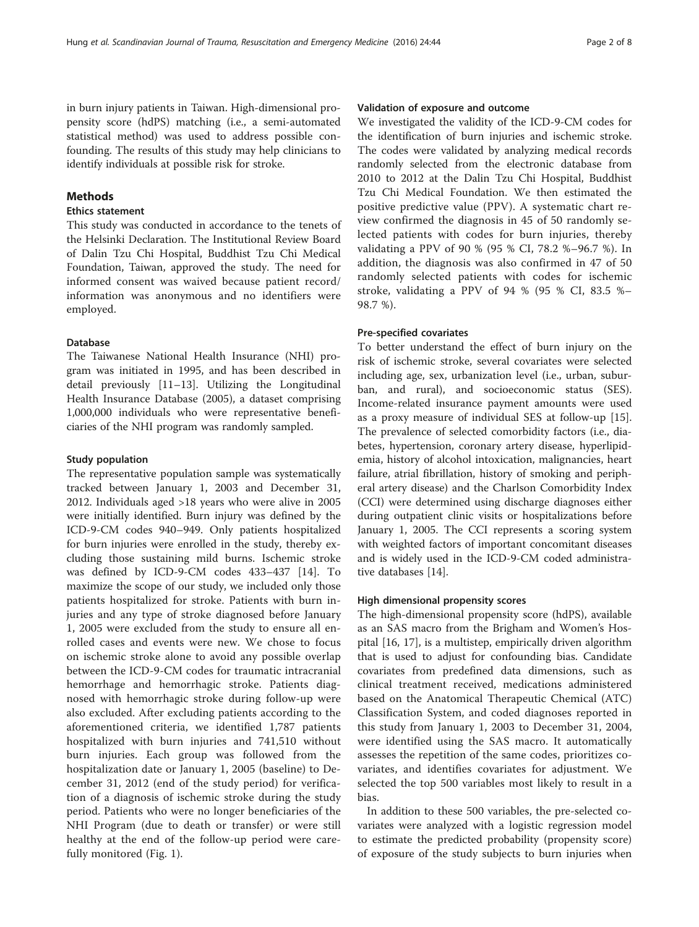in burn injury patients in Taiwan. High-dimensional propensity score (hdPS) matching (i.e., a semi-automated statistical method) was used to address possible confounding. The results of this study may help clinicians to identify individuals at possible risk for stroke.

## Methods

## Ethics statement

This study was conducted in accordance to the tenets of the Helsinki Declaration. The Institutional Review Board of Dalin Tzu Chi Hospital, Buddhist Tzu Chi Medical Foundation, Taiwan, approved the study. The need for informed consent was waived because patient record/ information was anonymous and no identifiers were employed.

## Database

The Taiwanese National Health Insurance (NHI) program was initiated in 1995, and has been described in detail previously [\[11](#page-6-0)–[13\]](#page-7-0). Utilizing the Longitudinal Health Insurance Database (2005), a dataset comprising 1,000,000 individuals who were representative beneficiaries of the NHI program was randomly sampled.

## Study population

The representative population sample was systematically tracked between January 1, 2003 and December 31, 2012. Individuals aged >18 years who were alive in 2005 were initially identified. Burn injury was defined by the ICD-9-CM codes 940–949. Only patients hospitalized for burn injuries were enrolled in the study, thereby excluding those sustaining mild burns. Ischemic stroke was defined by ICD-9-CM codes 433–437 [\[14](#page-7-0)]. To maximize the scope of our study, we included only those patients hospitalized for stroke. Patients with burn injuries and any type of stroke diagnosed before January 1, 2005 were excluded from the study to ensure all enrolled cases and events were new. We chose to focus on ischemic stroke alone to avoid any possible overlap between the ICD-9-CM codes for traumatic intracranial hemorrhage and hemorrhagic stroke. Patients diagnosed with hemorrhagic stroke during follow-up were also excluded. After excluding patients according to the aforementioned criteria, we identified 1,787 patients hospitalized with burn injuries and 741,510 without burn injuries. Each group was followed from the hospitalization date or January 1, 2005 (baseline) to December 31, 2012 (end of the study period) for verification of a diagnosis of ischemic stroke during the study period. Patients who were no longer beneficiaries of the NHI Program (due to death or transfer) or were still healthy at the end of the follow-up period were carefully monitored (Fig. [1](#page-2-0)).

## Validation of exposure and outcome

We investigated the validity of the ICD-9-CM codes for the identification of burn injuries and ischemic stroke. The codes were validated by analyzing medical records randomly selected from the electronic database from 2010 to 2012 at the Dalin Tzu Chi Hospital, Buddhist Tzu Chi Medical Foundation. We then estimated the positive predictive value (PPV). A systematic chart review confirmed the diagnosis in 45 of 50 randomly selected patients with codes for burn injuries, thereby validating a PPV of 90 % (95 % CI, 78.2 %–96.7 %). In addition, the diagnosis was also confirmed in 47 of 50 randomly selected patients with codes for ischemic stroke, validating a PPV of 94 % (95 % CI, 83.5 %– 98.7 %).

## Pre-specified covariates

To better understand the effect of burn injury on the risk of ischemic stroke, several covariates were selected including age, sex, urbanization level (i.e., urban, suburban, and rural), and socioeconomic status (SES). Income-related insurance payment amounts were used as a proxy measure of individual SES at follow-up [\[15](#page-7-0)]. The prevalence of selected comorbidity factors (i.e., diabetes, hypertension, coronary artery disease, hyperlipidemia, history of alcohol intoxication, malignancies, heart failure, atrial fibrillation, history of smoking and peripheral artery disease) and the Charlson Comorbidity Index (CCI) were determined using discharge diagnoses either during outpatient clinic visits or hospitalizations before January 1, 2005. The CCI represents a scoring system with weighted factors of important concomitant diseases and is widely used in the ICD-9-CM coded administrative databases [\[14\]](#page-7-0).

## High dimensional propensity scores

The high-dimensional propensity score (hdPS), available as an SAS macro from the Brigham and Women's Hospital [[16, 17\]](#page-7-0), is a multistep, empirically driven algorithm that is used to adjust for confounding bias. Candidate covariates from predefined data dimensions, such as clinical treatment received, medications administered based on the Anatomical Therapeutic Chemical (ATC) Classification System, and coded diagnoses reported in this study from January 1, 2003 to December 31, 2004, were identified using the SAS macro. It automatically assesses the repetition of the same codes, prioritizes covariates, and identifies covariates for adjustment. We selected the top 500 variables most likely to result in a bias.

In addition to these 500 variables, the pre-selected covariates were analyzed with a logistic regression model to estimate the predicted probability (propensity score) of exposure of the study subjects to burn injuries when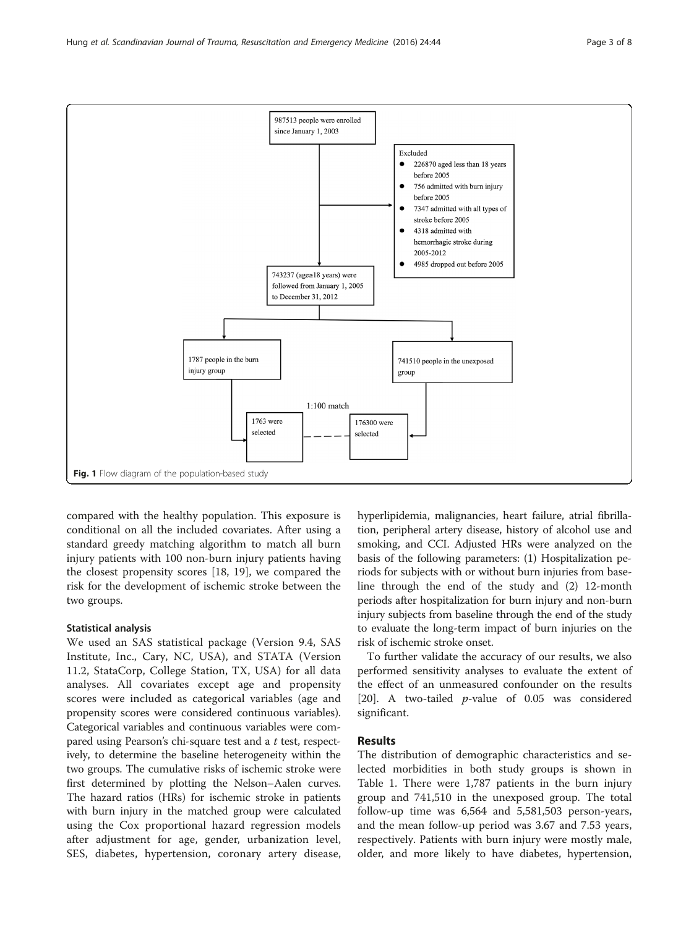<span id="page-2-0"></span>

compared with the healthy population. This exposure is conditional on all the included covariates. After using a standard greedy matching algorithm to match all burn injury patients with 100 non-burn injury patients having the closest propensity scores [\[18](#page-7-0), [19\]](#page-7-0), we compared the risk for the development of ischemic stroke between the two groups.

## Statistical analysis

We used an SAS statistical package (Version 9.4, SAS Institute, Inc., Cary, NC, USA), and STATA (Version 11.2, StataCorp, College Station, TX, USA) for all data analyses. All covariates except age and propensity scores were included as categorical variables (age and propensity scores were considered continuous variables). Categorical variables and continuous variables were compared using Pearson's chi-square test and a t test, respectively, to determine the baseline heterogeneity within the two groups. The cumulative risks of ischemic stroke were first determined by plotting the Nelson–Aalen curves. The hazard ratios (HRs) for ischemic stroke in patients with burn injury in the matched group were calculated using the Cox proportional hazard regression models after adjustment for age, gender, urbanization level, SES, diabetes, hypertension, coronary artery disease, hyperlipidemia, malignancies, heart failure, atrial fibrillation, peripheral artery disease, history of alcohol use and smoking, and CCI. Adjusted HRs were analyzed on the basis of the following parameters: (1) Hospitalization periods for subjects with or without burn injuries from baseline through the end of the study and (2) 12-month periods after hospitalization for burn injury and non-burn injury subjects from baseline through the end of the study to evaluate the long-term impact of burn injuries on the risk of ischemic stroke onset.

To further validate the accuracy of our results, we also performed sensitivity analyses to evaluate the extent of the effect of an unmeasured confounder on the results [[20\]](#page-7-0). A two-tailed *p*-value of 0.05 was considered significant.

## Results

The distribution of demographic characteristics and selected morbidities in both study groups is shown in Table [1](#page-3-0). There were 1,787 patients in the burn injury group and 741,510 in the unexposed group. The total follow-up time was 6,564 and 5,581,503 person-years, and the mean follow-up period was 3.67 and 7.53 years, respectively. Patients with burn injury were mostly male, older, and more likely to have diabetes, hypertension,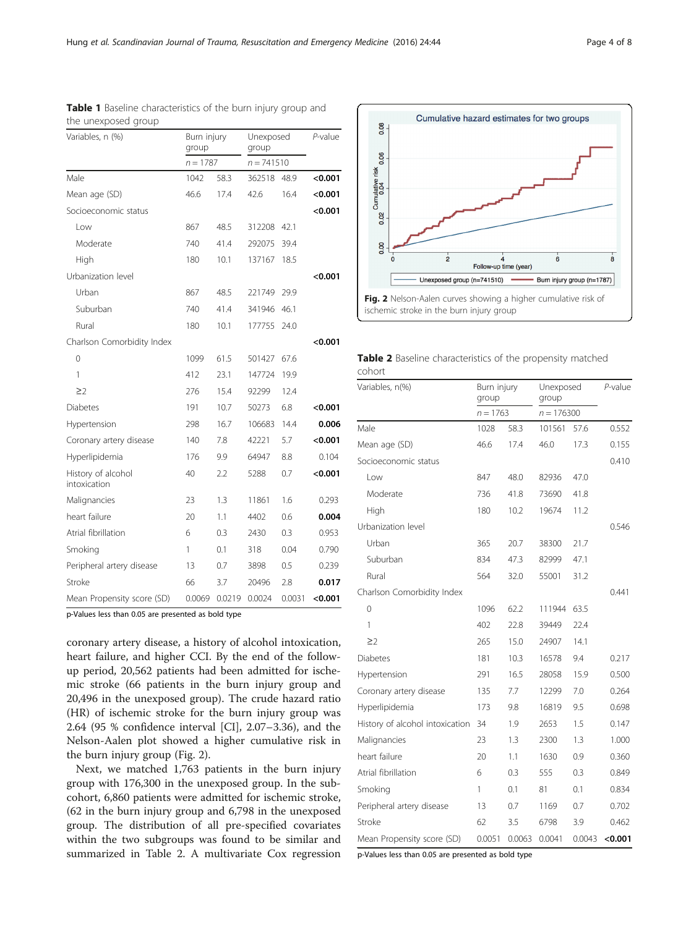| Variables, n (%)                   | Burn injury<br>group |        | Unexposed<br>group |        | P-value |  |
|------------------------------------|----------------------|--------|--------------------|--------|---------|--|
|                                    | $n = 1787$           |        | $n = 741510$       |        |         |  |
| Male                               | 1042                 | 58.3   | 362518             | 48.9   | < 0.001 |  |
| Mean age (SD)                      | 46.6                 | 17.4   | 42.6               | 16.4   | < 0.001 |  |
| Socioeconomic status               |                      |        |                    |        | < 0.001 |  |
| Low                                | 867                  | 48.5   | 312208             | 42.1   |         |  |
| Moderate                           | 740                  | 41.4   | 292075             | 39.4   |         |  |
| High                               | 180                  | 10.1   | 137167             | 18.5   |         |  |
| Urbanization level                 |                      |        |                    |        | < 0.001 |  |
| Urban                              | 867                  | 48.5   | 221749             | 29.9   |         |  |
| Suburban                           | 740                  | 41.4   | 341946             | 46.1   |         |  |
| Rural                              | 180                  | 10.1   | 177755             | 24.0   |         |  |
| Charlson Comorbidity Index         |                      |        |                    |        | <0.001  |  |
| $\Omega$                           | 1099                 | 61.5   | 501427             | 67.6   |         |  |
| 1                                  | 412                  | 23.1   | 147724             | 19.9   |         |  |
| $\geq$ 2                           | 276                  | 15.4   | 92299              | 12.4   |         |  |
| <b>Diabetes</b>                    | 191                  | 10.7   | 50273              | 6.8    | < 0.001 |  |
| Hypertension                       | 298                  | 16.7   | 106683             | 14.4   | 0.006   |  |
| Coronary artery disease            | 140                  | 7.8    | 42221              | 5.7    | < 0.001 |  |
| Hyperlipidemia                     | 176                  | 9.9    | 64947              | 8.8    | 0.104   |  |
| History of alcohol<br>intoxication | 40                   | 2.2    | 5288               | 0.7    | < 0.001 |  |
| Malignancies                       | 23                   | 1.3    | 11861              | 1.6    | 0.293   |  |
| heart failure                      | 20                   | 1.1    | 4402               | 0.6    | 0.004   |  |
| Atrial fibrillation                | 6                    | 0.3    | 2430               | 0.3    | 0.953   |  |
| Smoking                            | 1                    | 0.1    | 318                | 0.04   | 0.790   |  |
| Peripheral artery disease          | 13                   | 0.7    | 3898               | 0.5    | 0.239   |  |
| Stroke                             | 66                   | 3.7    | 20496              | 2.8    | 0.017   |  |
| Mean Propensity score (SD)         | 0.0069               | 0.0219 | 0.0024             | 0.0031 | < 0.001 |  |

<span id="page-3-0"></span>

|                     | Table 1 Baseline characteristics of the burn injury group and |  |  |  |
|---------------------|---------------------------------------------------------------|--|--|--|
| the unexposed group |                                                               |  |  |  |

p-Values less than 0.05 are presented as bold type

coronary artery disease, a history of alcohol intoxication, heart failure, and higher CCI. By the end of the followup period, 20,562 patients had been admitted for ischemic stroke (66 patients in the burn injury group and 20,496 in the unexposed group). The crude hazard ratio (HR) of ischemic stroke for the burn injury group was 2.64 (95 % confidence interval [CI], 2.07–3.36), and the Nelson-Aalen plot showed a higher cumulative risk in the burn injury group (Fig. 2).

Next, we matched 1,763 patients in the burn injury group with 176,300 in the unexposed group. In the subcohort, 6,860 patients were admitted for ischemic stroke, (62 in the burn injury group and 6,798 in the unexposed group. The distribution of all pre-specified covariates within the two subgroups was found to be similar and summarized in Table 2. A multivariate Cox regression



|        | Table 2 Baseline characteristics of the propensity matched |  |  |
|--------|------------------------------------------------------------|--|--|
| cohort |                                                            |  |  |

| Variables, n(%)                 | Burn injury<br>group<br>$n = 1763$ |        | Unexposed<br>group<br>$n = 176300$ |        | P-value   |  |
|---------------------------------|------------------------------------|--------|------------------------------------|--------|-----------|--|
|                                 |                                    |        |                                    |        |           |  |
| Male                            | 1028                               | 58.3   | 101561                             | 57.6   | 0.552     |  |
| Mean age (SD)                   | 46.6                               | 17.4   | 46.0                               | 17.3   | 0.155     |  |
| Socioeconomic status            |                                    |        |                                    |        | 0.410     |  |
| l ow                            | 847                                | 48.0   | 82936                              | 47.0   |           |  |
| Moderate                        | 736                                | 41.8   | 73690                              | 41.8   |           |  |
| High                            | 180                                | 10.2   | 19674                              | 11.2   |           |  |
| Urbanization level              |                                    |        |                                    |        | 0.546     |  |
| Urban                           | 365                                | 20.7   | 38300                              | 21.7   |           |  |
| Suburban                        | 834                                | 47.3   | 82999                              | 47.1   |           |  |
| Rural                           | 564                                | 32.0   | 55001                              | 31.2   |           |  |
| Charlson Comorbidity Index      |                                    |        |                                    |        | 0.441     |  |
| $\Omega$                        | 1096                               | 62.2   | 111944                             | 63.5   |           |  |
| 1                               | 402                                | 22.8   | 39449                              | 22.4   |           |  |
| $\geq$                          | 265                                | 15.0   | 24907                              | 14.1   |           |  |
| <b>Diabetes</b>                 | 181                                | 10.3   | 16578                              | 9.4    | 0.217     |  |
| Hypertension                    | 291                                | 16.5   | 28058                              | 15.9   | 0.500     |  |
| Coronary artery disease         | 135                                | 7.7    | 12299                              | 7.0    | 0.264     |  |
| Hyperlipidemia                  | 173                                | 9.8    | 16819                              | 9.5    | 0.698     |  |
| History of alcohol intoxication | 34                                 | 1.9    | 2653                               | 1.5    | 0.147     |  |
| Malignancies                    | 23                                 | 1.3    | 2300                               | 1.3    | 1.000     |  |
| heart failure                   | 20                                 | 1.1    | 1630                               | 0.9    | 0.360     |  |
| Atrial fibrillation             | 6                                  | 0.3    | 555                                | 0.3    | 0.849     |  |
| Smoking                         | 1                                  | 0.1    | 81                                 | 0.1    | 0.834     |  |
| Peripheral artery disease       | 13                                 | 0.7    | 1169                               | 0.7    | 0.702     |  |
| Stroke                          | 62                                 | 3.5    | 6798                               | 3.9    | 0.462     |  |
| Mean Propensity score (SD)      | 0.0051                             | 0.0063 | 0.0041                             | 0.0043 | $<$ 0.001 |  |

p-Values less than 0.05 are presented as bold type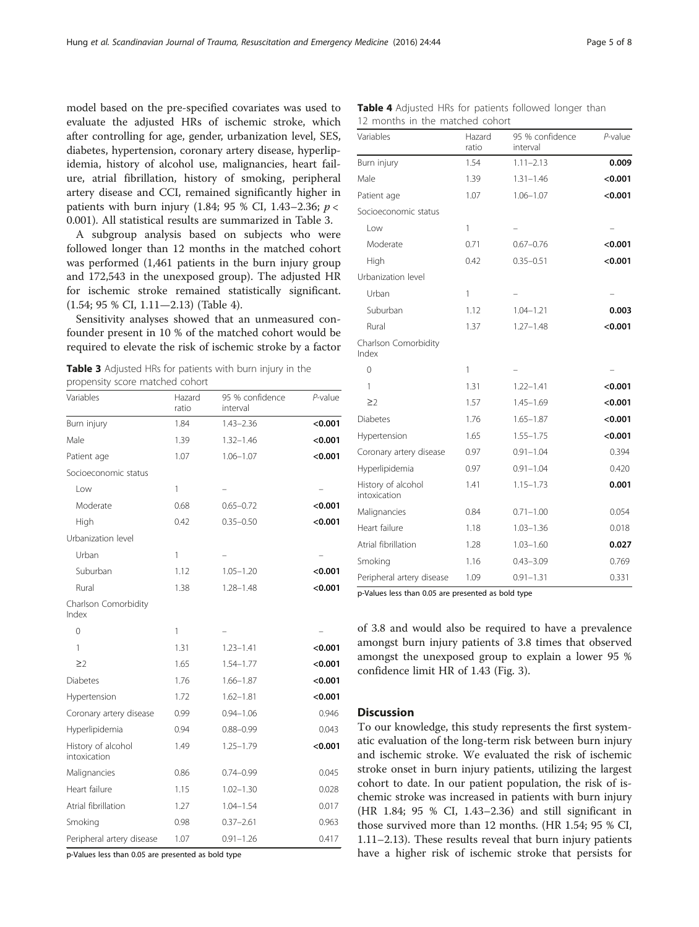model based on the pre-specified covariates was used to evaluate the adjusted HRs of ischemic stroke, which after controlling for age, gender, urbanization level, SES, diabetes, hypertension, coronary artery disease, hyperlipidemia, history of alcohol use, malignancies, heart failure, atrial fibrillation, history of smoking, peripheral artery disease and CCI, remained significantly higher in patients with burn injury (1.84; 95 % CI, 1.43–2.36;  $p <$ 0.001). All statistical results are summarized in Table 3.

A subgroup analysis based on subjects who were followed longer than 12 months in the matched cohort was performed (1,461 patients in the burn injury group and 172,543 in the unexposed group). The adjusted HR for ischemic stroke remained statistically significant. (1.54; 95 % CI, 1.11—2.13) (Table 4).

Sensitivity analyses showed that an unmeasured confounder present in 10 % of the matched cohort would be required to elevate the risk of ischemic stroke by a factor

Table 3 Adjusted HRs for patients with burn injury in the propensity score matched cohort

| Variables                          | Hazard<br>ratio | 95 % confidence<br>interval | $P$ -value |
|------------------------------------|-----------------|-----------------------------|------------|
| Burn injury                        | 1.84            | $1.43 - 2.36$               | < 0.001    |
| Male                               | 1.39            | $1.32 - 1.46$               | < 0.001    |
| Patient age                        | 1.07            | $1.06 - 1.07$               | < 0.001    |
| Socioeconomic status               |                 |                             |            |
| Low                                | $\mathbf{1}$    |                             |            |
| Moderate                           | 0.68            | $0.65 - 0.72$               | < 0.001    |
| High                               | 0.42            | $0.35 - 0.50$               | < 0.001    |
| Urbanization level                 |                 |                             |            |
| Urban                              | 1               |                             |            |
| Suburban                           | 1.12            | $1.05 - 1.20$               | < 0.001    |
| Rural                              | 1.38            | $1.28 - 1.48$               | < 0.001    |
| Charlson Comorbidity<br>Index      |                 |                             |            |
| 0                                  | 1               |                             |            |
| 1                                  | 1.31            | $1.23 - 1.41$               | < 0.001    |
| $\geq$                             | 1.65            | $1.54 - 1.77$               | < 0.001    |
| <b>Diabetes</b>                    | 1.76            | $1.66 - 1.87$               | < 0.001    |
| Hypertension                       | 1.72            | $1.62 - 1.81$               | < 0.001    |
| Coronary artery disease            | 0.99            | $0.94 - 1.06$               | 0.946      |
| Hyperlipidemia                     | 0.94            | $0.88 - 0.99$               | 0.043      |
| History of alcohol<br>intoxication | 1.49            | $1.25 - 1.79$               | < 0.001    |
| Malignancies                       | 0.86            | $0.74 - 0.99$               | 0.045      |
| Heart failure                      | 1.15            | $1.02 - 1.30$               | 0.028      |
| Atrial fibrillation                | 1.27            | $1.04 - 1.54$               | 0.017      |
| Smoking                            | 0.98            | $0.37 - 2.61$               | 0.963      |
| Peripheral artery disease          | 1.07            | $0.91 - 1.26$               | 0.417      |

p-Values less than 0.05 are presented as bold type

|                                 |  |  | <b>Table 4</b> Adjusted HRs for patients followed longer than |  |
|---------------------------------|--|--|---------------------------------------------------------------|--|
| 12 months in the matched cohort |  |  |                                                               |  |

| Variables                          | Hazard<br>ratio | 95 % confidence<br>interval | $P$ -value |
|------------------------------------|-----------------|-----------------------------|------------|
| Burn injury                        | 1.54            | $1.11 - 2.13$               | 0.009      |
| Male                               | 1.39            | $1.31 - 1.46$               | < 0.001    |
| Patient age                        | 1.07            | $1.06 - 1.07$               | < 0.001    |
| Socioeconomic status               |                 |                             |            |
| Low                                | 1               |                             |            |
| Moderate                           | 0.71            | $0.67 - 0.76$               | < 0.001    |
| High                               | 0.42            | $0.35 - 0.51$               | < 0.001    |
| Urbanization level                 |                 |                             |            |
| Urban                              | 1               |                             |            |
| Suburban                           | 1.12            | $1.04 - 1.21$               | 0.003      |
| Rural                              | 1.37            | $1.27 - 1.48$               | < 0.001    |
| Charlson Comorbidity<br>Index      |                 |                             |            |
| $\overline{O}$                     | 1               |                             |            |
| 1                                  | 1.31            | $1.22 - 1.41$               | < 0.001    |
| $\geq$ 2                           | 1.57            | $1.45 - 1.69$               | <0.001     |
| Diabetes                           | 1.76            | $1.65 - 1.87$               | < 0.001    |
| Hypertension                       | 1.65            | $1.55 - 1.75$               | < 0.001    |
| Coronary artery disease            | 0.97            | $0.91 - 1.04$               | 0.394      |
| Hyperlipidemia                     | 0.97            | $0.91 - 1.04$               | 0.420      |
| History of alcohol<br>intoxication | 1.41            | $1.15 - 1.73$               | 0.001      |
| Malignancies                       | 0.84            | $0.71 - 1.00$               | 0.054      |
| Heart failure                      | 1.18            | $1.03 - 1.36$               | 0.018      |
| Atrial fibrillation                | 1.28            | $1.03 - 1.60$               | 0.027      |
| Smoking                            | 1.16            | $0.43 - 3.09$               | 0.769      |
| Peripheral artery disease          | 1.09            | $0.91 - 1.31$               | 0.331      |

p-Values less than 0.05 are presented as bold type

of 3.8 and would also be required to have a prevalence amongst burn injury patients of 3.8 times that observed amongst the unexposed group to explain a lower 95 % confidence limit HR of 1.43 (Fig. [3\)](#page-5-0).

### Discussion

To our knowledge, this study represents the first systematic evaluation of the long-term risk between burn injury and ischemic stroke. We evaluated the risk of ischemic stroke onset in burn injury patients, utilizing the largest cohort to date. In our patient population, the risk of ischemic stroke was increased in patients with burn injury (HR 1.84; 95 % CI, 1.43–2.36) and still significant in those survived more than 12 months. (HR 1.54; 95 % CI, 1.11–2.13). These results reveal that burn injury patients have a higher risk of ischemic stroke that persists for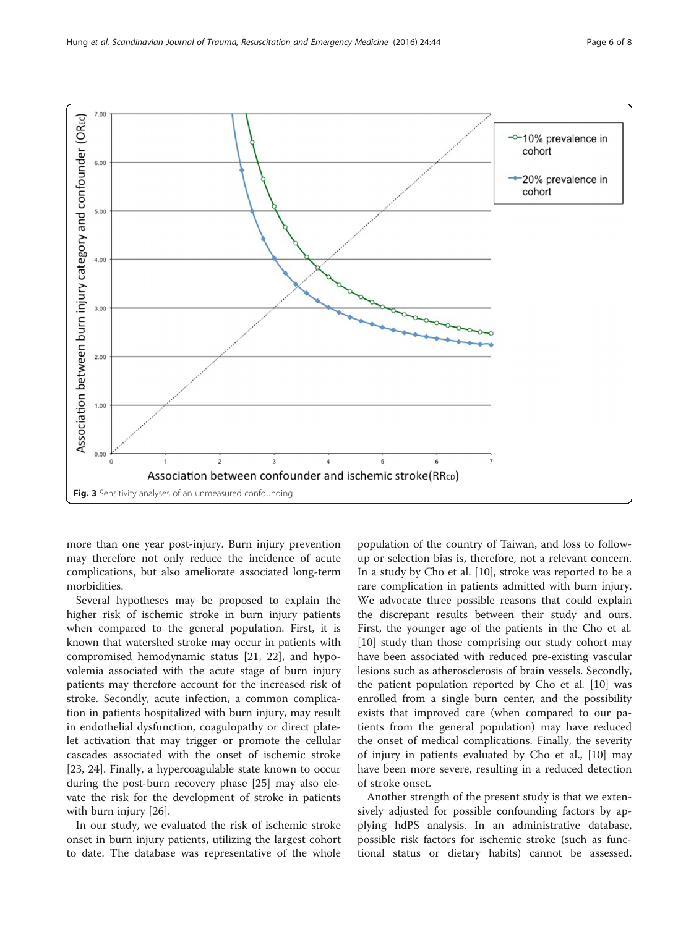<span id="page-5-0"></span>

more than one year post-injury. Burn injury prevention may therefore not only reduce the incidence of acute complications, but also ameliorate associated long-term morbidities.

Several hypotheses may be proposed to explain the higher risk of ischemic stroke in burn injury patients when compared to the general population. First, it is known that watershed stroke may occur in patients with compromised hemodynamic status [[21, 22](#page-7-0)], and hypovolemia associated with the acute stage of burn injury patients may therefore account for the increased risk of stroke. Secondly, acute infection, a common complication in patients hospitalized with burn injury, may result in endothelial dysfunction, coagulopathy or direct platelet activation that may trigger or promote the cellular cascades associated with the onset of ischemic stroke [[23, 24\]](#page-7-0). Finally, a hypercoagulable state known to occur during the post-burn recovery phase [[25\]](#page-7-0) may also elevate the risk for the development of stroke in patients with burn injury [[26\]](#page-7-0).

In our study, we evaluated the risk of ischemic stroke onset in burn injury patients, utilizing the largest cohort to date. The database was representative of the whole

population of the country of Taiwan, and loss to followup or selection bias is, therefore, not a relevant concern. In a study by Cho et al. [[10\]](#page-6-0), stroke was reported to be a rare complication in patients admitted with burn injury. We advocate three possible reasons that could explain the discrepant results between their study and ours. First, the younger age of the patients in the Cho et al. [[10\]](#page-6-0) study than those comprising our study cohort may have been associated with reduced pre-existing vascular lesions such as atherosclerosis of brain vessels. Secondly, the patient population reported by Cho et al. [\[10\]](#page-6-0) was enrolled from a single burn center, and the possibility exists that improved care (when compared to our patients from the general population) may have reduced the onset of medical complications. Finally, the severity of injury in patients evaluated by Cho et al., [\[10\]](#page-6-0) may have been more severe, resulting in a reduced detection of stroke onset.

Another strength of the present study is that we extensively adjusted for possible confounding factors by applying hdPS analysis. In an administrative database, possible risk factors for ischemic stroke (such as functional status or dietary habits) cannot be assessed.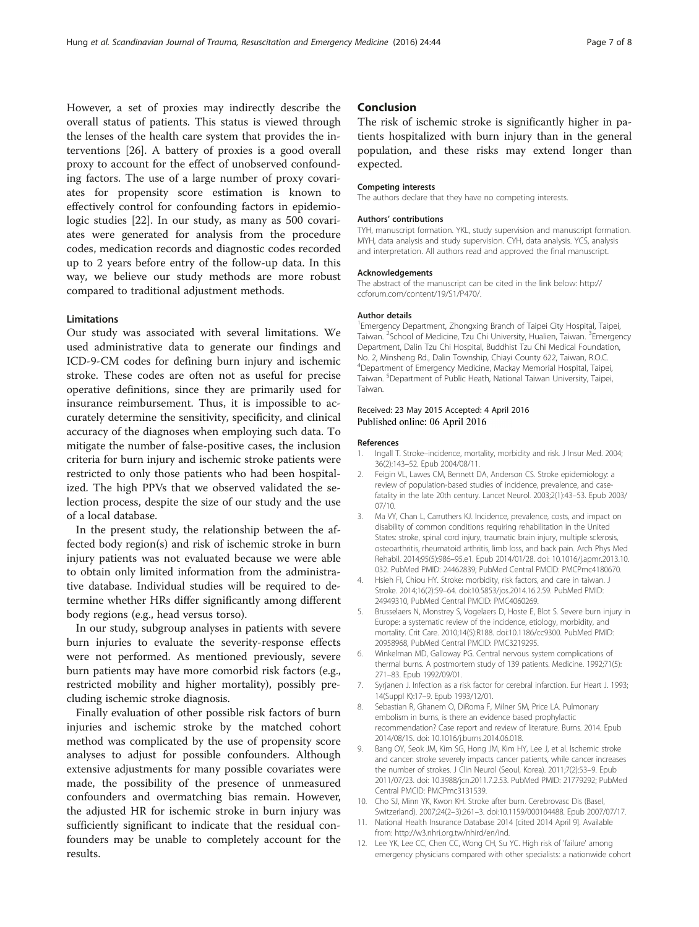<span id="page-6-0"></span>However, a set of proxies may indirectly describe the overall status of patients. This status is viewed through the lenses of the health care system that provides the interventions [\[26\]](#page-7-0). A battery of proxies is a good overall proxy to account for the effect of unobserved confounding factors. The use of a large number of proxy covariates for propensity score estimation is known to effectively control for confounding factors in epidemiologic studies [\[22](#page-7-0)]. In our study, as many as 500 covariates were generated for analysis from the procedure codes, medication records and diagnostic codes recorded up to 2 years before entry of the follow-up data. In this way, we believe our study methods are more robust compared to traditional adjustment methods.

## **Limitations**

Our study was associated with several limitations. We used administrative data to generate our findings and ICD-9-CM codes for defining burn injury and ischemic stroke. These codes are often not as useful for precise operative definitions, since they are primarily used for insurance reimbursement. Thus, it is impossible to accurately determine the sensitivity, specificity, and clinical accuracy of the diagnoses when employing such data. To mitigate the number of false-positive cases, the inclusion criteria for burn injury and ischemic stroke patients were restricted to only those patients who had been hospitalized. The high PPVs that we observed validated the selection process, despite the size of our study and the use of a local database.

In the present study, the relationship between the affected body region(s) and risk of ischemic stroke in burn injury patients was not evaluated because we were able to obtain only limited information from the administrative database. Individual studies will be required to determine whether HRs differ significantly among different body regions (e.g., head versus torso).

In our study, subgroup analyses in patients with severe burn injuries to evaluate the severity-response effects were not performed. As mentioned previously, severe burn patients may have more comorbid risk factors (e.g., restricted mobility and higher mortality), possibly precluding ischemic stroke diagnosis.

Finally evaluation of other possible risk factors of burn injuries and ischemic stroke by the matched cohort method was complicated by the use of propensity score analyses to adjust for possible confounders. Although extensive adjustments for many possible covariates were made, the possibility of the presence of unmeasured confounders and overmatching bias remain. However, the adjusted HR for ischemic stroke in burn injury was sufficiently significant to indicate that the residual confounders may be unable to completely account for the results.

## Conclusion

The risk of ischemic stroke is significantly higher in patients hospitalized with burn injury than in the general population, and these risks may extend longer than expected.

#### Competing interests

The authors declare that they have no competing interests.

#### Authors' contributions

TYH, manuscript formation. YKL, study supervision and manuscript formation. MYH, data analysis and study supervision. CYH, data analysis. YCS, analysis and interpretation. All authors read and approved the final manuscript.

#### Acknowledgements

The abstract of the manuscript can be cited in the link below: [http://](http://ccforum.com/content/19/S1/P470/) [ccforum.com/content/19/S1/P470/](http://ccforum.com/content/19/S1/P470/).

#### Author details

<sup>1</sup> Emergency Department, Zhongxing Branch of Taipei City Hospital, Taipei Taiwan. <sup>2</sup>School of Medicine, Tzu Chi University, Hualien, Taiwan. <sup>3</sup>Emergency Department, Dalin Tzu Chi Hospital, Buddhist Tzu Chi Medical Foundation, No. 2, Minsheng Rd., Dalin Township, Chiayi County 622, Taiwan, R.O.C. 4 Department of Emergency Medicine, Mackay Memorial Hospital, Taipei, Taiwan. <sup>5</sup> Department of Public Heath, National Taiwan University, Taipei Taiwan.

### Received: 23 May 2015 Accepted: 4 April 2016 Published online: 06 April 2016

#### References

- 1. Ingall T. Stroke–incidence, mortality, morbidity and risk. J Insur Med. 2004; 36(2):143–52. Epub 2004/08/11.
- Feigin VL, Lawes CM, Bennett DA, Anderson CS. Stroke epidemiology: a review of population-based studies of incidence, prevalence, and casefatality in the late 20th century. Lancet Neurol. 2003;2(1):43–53. Epub 2003/ 07/10.
- 3. Ma VY, Chan L, Carruthers KJ. Incidence, prevalence, costs, and impact on disability of common conditions requiring rehabilitation in the United States: stroke, spinal cord injury, traumatic brain injury, multiple sclerosis, osteoarthritis, rheumatoid arthritis, limb loss, and back pain. Arch Phys Med Rehabil. 2014;95(5):986–95.e1. Epub 2014/01/28. doi: [10.1016/j.apmr.2013.10.](http://dx.doi.org/10.1016/j.apmr.2013.10.032) [032.](http://dx.doi.org/10.1016/j.apmr.2013.10.032) PubMed PMID: 24462839; PubMed Central PMCID: PMCPmc4180670.
- 4. Hsieh FI, Chiou HY. Stroke: morbidity, risk factors, and care in taiwan. J Stroke. 2014;16(2):59–64. doi[:10.5853/jos.2014.16.2.59.](http://dx.doi.org/10.5853/jos.2014.16.2.59) PubMed PMID: 24949310, PubMed Central PMCID: PMC4060269.
- Brusselaers N, Monstrey S, Vogelaers D, Hoste E, Blot S. Severe burn injury in Europe: a systematic review of the incidence, etiology, morbidity, and mortality. Crit Care. 2010;14(5):R188. doi:[10.1186/cc9300.](http://dx.doi.org/10.1186/cc9300) PubMed PMID: 20958968, PubMed Central PMCID: PMC3219295.
- 6. Winkelman MD, Galloway PG. Central nervous system complications of thermal burns. A postmortem study of 139 patients. Medicine. 1992;71(5): 271–83. Epub 1992/09/01.
- 7. Syrjanen J. Infection as a risk factor for cerebral infarction. Eur Heart J. 1993; 14(Suppl K):17–9. Epub 1993/12/01.
- 8. Sebastian R, Ghanem O, DiRoma F, Milner SM, Price LA. Pulmonary embolism in burns, is there an evidence based prophylactic recommendation? Case report and review of literature. Burns. 2014. Epub 2014/08/15. doi: [10.1016/j.burns.2014.06.018.](http://dx.doi.org/10.1016/j.burns.2014.06.018)
- 9. Bang OY, Seok JM, Kim SG, Hong JM, Kim HY, Lee J, et al. Ischemic stroke and cancer: stroke severely impacts cancer patients, while cancer increases the number of strokes. J Clin Neurol (Seoul, Korea). 2011;7(2):53–9. Epub 2011/07/23. doi: [10.3988/jcn.2011.7.2.53](http://dx.doi.org/10.3988/jcn.2011.7.2.53). PubMed PMID: 21779292; PubMed Central PMCID: PMCPmc3131539.
- 10. Cho SJ, Minn YK, Kwon KH. Stroke after burn. Cerebrovasc Dis (Basel, Switzerland). 2007;24(2–3):261–3. doi[:10.1159/000104488](http://dx.doi.org/10.1159/000104488). Epub 2007/07/17. 11. National Health Insurance Database 2014 [cited 2014 April 9]. Available
- from:<http://w3.nhri.org.tw/nhird/en/ind>.
- 12. Lee YK, Lee CC, Chen CC, Wong CH, Su YC. High risk of 'failure' among emergency physicians compared with other specialists: a nationwide cohort